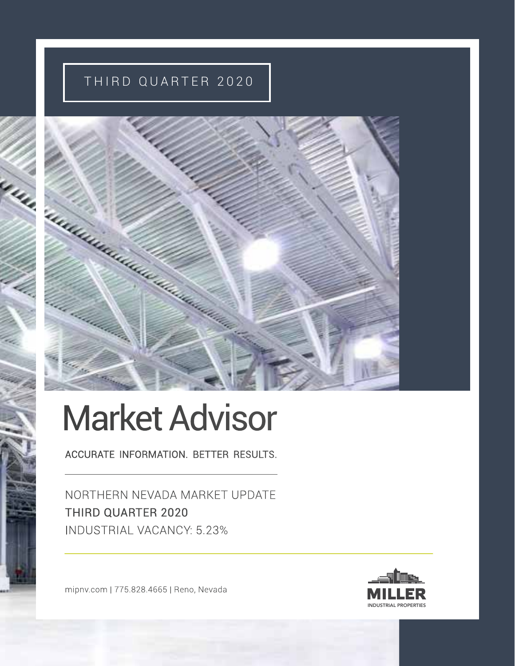# THIRD QUARTER 2020



# Market Advisor

ACCURATE INFORMATION. BETTER RESULTS.

NORTHERN NEVADA MARKET UPDATE THIRD QUARTER 2020 INDUSTRIAL VACANCY: 5.23%

mipnv.com | 775.828.4665 | Reno, Nevada

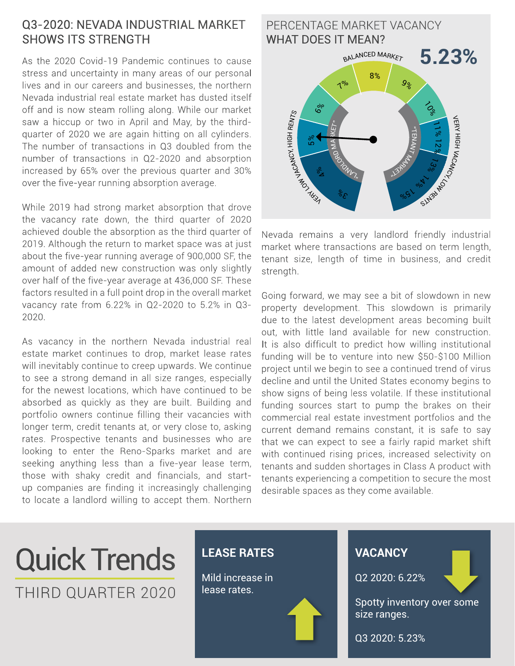#### Q3-2020: NEVADA INDUSTRIAL MARKET SHOWS ITS STRENGTH

As the 2020 Covid-19 Pandemic continues to cause stress and uncertainty in many areas of our personal lives and in our careers and businesses, the northern Nevada industrial real estate market has dusted itself off and is now steam rolling along. While our market saw a hiccup or two in April and May, by the thirdquarter of 2020 we are again hitting on all cylinders. The number of transactions in Q3 doubled from the number of transactions in Q2-2020 and absorption increased by 65% over the previous quarter and 30% over the five-year running absorption average.

While 2019 had strong market absorption that drove the vacancy rate down, the third quarter of 2020 achieved double the absorption as the third quarter of 2019. Although the return to market space was at just about the five-year running average of 900,000 SF, the amount of added new construction was only slightly over half of the five-year average at 436,000 SF. These factors resulted in a full point drop in the overall market vacancy rate from 6.22% in Q2-2020 to 5.2% in Q3- 2020.

As vacancy in the northern Nevada industrial real estate market continues to drop, market lease rates will inevitably continue to creep upwards. We continue to see a strong demand in all size ranges, especially for the newest locations, which have continued to be absorbed as quickly as they are built. Building and portfolio owners continue filling their vacancies with longer term, credit tenants at, or very close to, asking rates. Prospective tenants and businesses who are looking to enter the Reno-Sparks market and are seeking anything less than a five-year lease term, those with shaky credit and financials, and startup companies are finding it increasingly challenging to locate a landlord willing to accept them. Northern



Nevada remains a very landlord friendly industrial market where transactions are based on term length, tenant size, length of time in business, and credit strength.

Going forward, we may see a bit of slowdown in new property development. This slowdown is primarily due to the latest development areas becoming built out, with little land available for new construction. It is also difficult to predict how willing institutional funding will be to venture into new \$50-\$100 Million project until we begin to see a continued trend of virus decline and until the United States economy begins to show signs of being less volatile. If these institutional funding sources start to pump the brakes on their commercial real estate investment portfolios and the current demand remains constant, it is safe to say that we can expect to see a fairly rapid market shift with continued rising prices, increased selectivity on tenants and sudden shortages in Class A product with tenants experiencing a competition to secure the most desirable spaces as they come available.

# Quick Trends THIRD QUARTER 2020

#### **LEASE RATES**

Mild increase in lease rates.



#### **VACANCY**

Q2 2020: 6.22%

Spotty inventory over some size ranges.

Q3 2020: 5.23%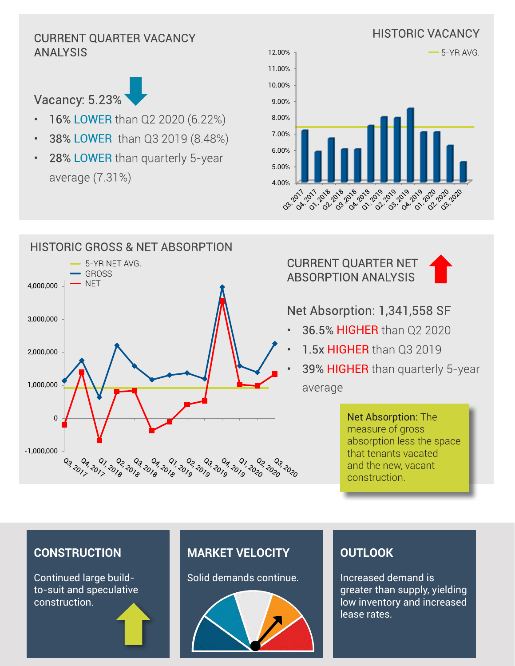# HISTORIC VACANCY CURRENT QUARTER VACANCY ANALYSIS



- 16% LOWER than Q2 2020 (6.22%)
- 38% LOWER than Q3 2019 (8.48%)
- 28% LOWER than quarterly 5-year average (7.31%)





HISTORIC GROSS & NET ABSORPTION  $\overline{\phantom{0}}$ 5-YR NET AVG. GROSS **NET** 4,000,000 3,000,000 2,000,000 1,000,000 0 -1,000,000 04.2017 **POSTONY** 02 2020<br>02 2020 <sup>9</sup>69ء <sup>6</sup>روء <sup>6</sup>روء <sup>6</sup>روء <sup>6</sup>روء <sup>9</sup>روء <sup>8</sup>روء <sup>8</sup>روء <sup>9</sup>روء<br>څو <sup>6</sup>رو <sup>7</sup>وه <sup>6</sup>رو <sup>6</sup>رو <sup>7</sup>رو <sup>7</sup>فو گور

CURRENT QUARTER NET ABSORPTION ANALYSIS



### Net Absorption: 1,341,558 SF

- 36.5% **HIGHER** than 02 2020
- 1.5x HIGHER than 03 2019
- 39% HIGHER than quarterly 5-year average

Net Absorption: The measure of gross absorption less the space that tenants vacated and the new, vacant construction.

#### **CONSTRUCTION**

Continued large buildto-suit and speculative construction.

## **MARKET VELOCITY**

Solid demands continue.



#### **OUTLOOK**

Increased demand is greater than supply, yielding low inventory and increased lease rates.